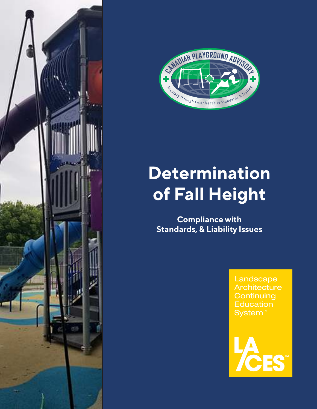



## **Determination of Fall Height**

**Compliance with Standards, & Liability Issues**

> Landscape **Architecture Continuing Education** System<sup>™</sup>

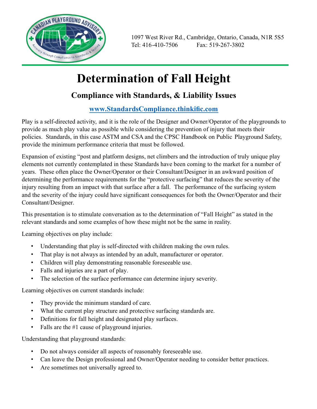

1097 West River Rd., Cambridge, Ontario, Canada, N1R 5S5 Tel: 416-410-7506 Fax: 519-267-3802

## **Determination of Fall Height**

## **Compliance with Standards, & Liability Issues**

## **www.StandardsCompliance.thinkific.com**

Play is a self-directed activity, and it is the role of the Designer and Owner/Operator of the playgrounds to provide as much play value as possible while considering the prevention of injury that meets their policies. Standards, in this case ASTM and CSA and the CPSC Handbook on Public Playground Safety, provide the minimum performance criteria that must be followed.

Expansion of existing "post and platform designs, net climbers and the introduction of truly unique play elements not currently contemplated in these Standards have been coming to the market for a number of years. These often place the Owner/Operator or their Consultant/Designer in an awkward position of determining the performance requirements for the "protective surfacing" that reduces the severity of the injury resulting from an impact with that surface after a fall. The performance of the surfacing system and the severity of the injury could have significant consequences for both the Owner/Operator and their Consultant/Designer.

This presentation is to stimulate conversation as to the determination of "Fall Height" as stated in the relevant standards and some examples of how these might not be the same in reality.

Learning objectives on play include:

- Understanding that play is self-directed with children making the own rules.
- That play is not always as intended by an adult, manufacturer or operator.
- Children will play demonstrating reasonable foreseeable use.
- Falls and injuries are a part of play.
- The selection of the surface performance can determine injury severity.

Learning objectives on current standards include:

- They provide the minimum standard of care.
- What the current play structure and protective surfacing standards are.
- Definitions for fall height and designated play surfaces.
- Falls are the #1 cause of playground injuries.

Understanding that playground standards:

- Do not always consider all aspects of reasonably foreseeable use.
- Can leave the Design professional and Owner/Operator needing to consider better practices.
- Are sometimes not universally agreed to.